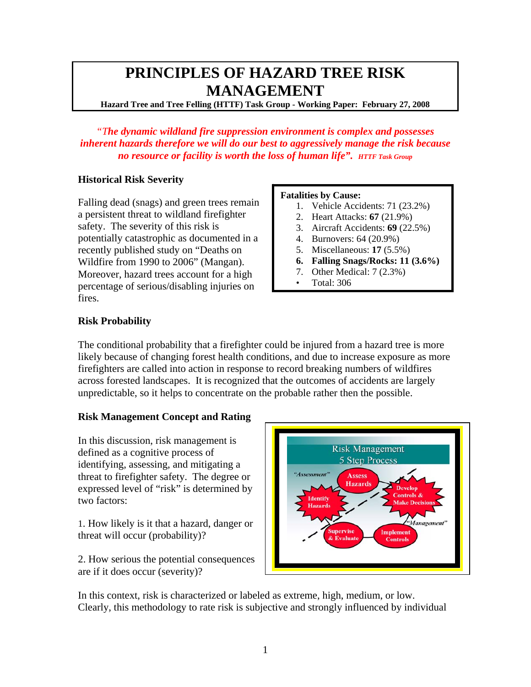# **PRINCIPLES OF HAZARD TREE RISK MANAGEMENT**

**Hazard Tree and Tree Felling (HTTF) Task Group - Working Paper: February 27, 2008**

*"The dynamic wildland fire suppression environment is complex and possesses inherent hazards therefore we will do our best to aggressively manage the risk because no resource or facility is worth the loss of human life". HTTF Task Group*

# **Historical Risk Severity**

Falling dead (snags) and green trees remain a persistent threat to wildland firefighter safety. The severity of this risk is potentially catastrophic as documented in a recently published study on "Deaths on Wildfire from 1990 to 2006" (Mangan). Moreover, hazard trees account for a high percentage of serious/disabling injuries on fires.

#### **Fatalities by Cause:**

- 1. Vehicle Accidents: 71 (23.2%)
- 2. Heart Attacks: **67** (21.9%)
- 3. Aircraft Accidents: **69** (22.5%)
- 4. Burnovers: 64 (20.9%)
- 5. Miscellaneous: **17** (5.5%)
- **6. Falling Snags/Rocks: 11 (3.6%)**
- 7. Other Medical: 7 (2.3%)
- Total: 306

# **Risk Probability**

The conditional probability that a firefighter could be injured from a hazard tree is more likely because of changing forest health conditions, and due to increase exposure as more firefighters are called into action in response to record breaking numbers of wildfires across forested landscapes. It is recognized that the outcomes of accidents are largely unpredictable, so it helps to concentrate on the probable rather then the possible.

# **Risk Management Concept and Rating**

In this discussion, risk management is defined as a cognitive process of identifying, assessing, and mitigating a threat to firefighter safety. The degree or expressed level of "risk" is determined by two factors:

1. How likely is it that a hazard, danger or threat will occur (probability)?

2. How serious the potential consequences are if it does occur (severity)?



In this context, risk is characterized or labeled as extreme, high, medium, or low. Clearly, this methodology to rate risk is subjective and strongly influenced by individual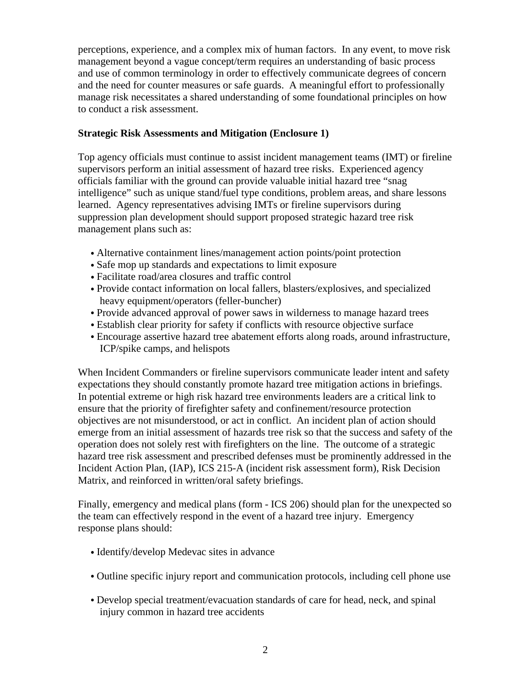perceptions, experience, and a complex mix of human factors. In any event, to move risk management beyond a vague concept/term requires an understanding of basic process and use of common terminology in order to effectively communicate degrees of concern and the need for counter measures or safe guards. A meaningful effort to professionally manage risk necessitates a shared understanding of some foundational principles on how to conduct a risk assessment.

# **Strategic Risk Assessments and Mitigation (Enclosure 1)**

Top agency officials must continue to assist incident management teams (IMT) or fireline supervisors perform an initial assessment of hazard tree risks. Experienced agency officials familiar with the ground can provide valuable initial hazard tree "snag intelligence" such as unique stand/fuel type conditions, problem areas, and share lessons learned. Agency representatives advising IMTs or fireline supervisors during suppression plan development should support proposed strategic hazard tree risk management plans such as:

- Alternative containment lines/management action points/point protection
- Safe mop up standards and expectations to limit exposure
- Facilitate road/area closures and traffic control
- Provide contact information on local fallers, blasters/explosives, and specialized heavy equipment/operators (feller-buncher)
- Provide advanced approval of power saws in wilderness to manage hazard trees
- Establish clear priority for safety if conflicts with resource objective surface
- Encourage assertive hazard tree abatement efforts along roads, around infrastructure, ICP/spike camps, and helispots

When Incident Commanders or fireline supervisors communicate leader intent and safety expectations they should constantly promote hazard tree mitigation actions in briefings. In potential extreme or high risk hazard tree environments leaders are a critical link to ensure that the priority of firefighter safety and confinement/resource protection objectives are not misunderstood, or act in conflict. An incident plan of action should emerge from an initial assessment of hazards tree risk so that the success and safety of the operation does not solely rest with firefighters on the line. The outcome of a strategic hazard tree risk assessment and prescribed defenses must be prominently addressed in the Incident Action Plan, (IAP), ICS 215-A (incident risk assessment form), Risk Decision Matrix, and reinforced in written/oral safety briefings.

Finally, emergency and medical plans (form - ICS 206) should plan for the unexpected so the team can effectively respond in the event of a hazard tree injury. Emergency response plans should:

- Identify/develop Medevac sites in advance
- Outline specific injury report and communication protocols, including cell phone use
- Develop special treatment/evacuation standards of care for head, neck, and spinal injury common in hazard tree accidents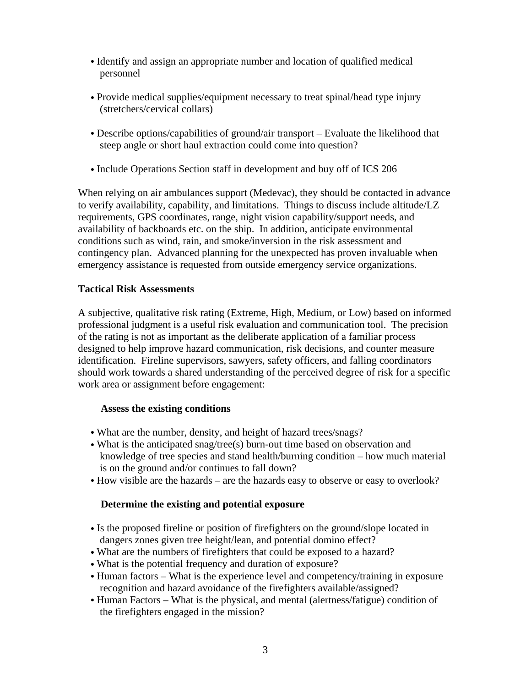- Identify and assign an appropriate number and location of qualified medical personnel
- Provide medical supplies/equipment necessary to treat spinal/head type injury (stretchers/cervical collars)
- Describe options/capabilities of ground/air transport Evaluate the likelihood that steep angle or short haul extraction could come into question?
- Include Operations Section staff in development and buy off of ICS 206

When relying on air ambulances support (Medevac), they should be contacted in advance to verify availability, capability, and limitations. Things to discuss include altitude/LZ requirements, GPS coordinates, range, night vision capability/support needs, and availability of backboards etc. on the ship. In addition, anticipate environmental conditions such as wind, rain, and smoke/inversion in the risk assessment and contingency plan. Advanced planning for the unexpected has proven invaluable when emergency assistance is requested from outside emergency service organizations.

# **Tactical Risk Assessments**

A subjective, qualitative risk rating (Extreme, High, Medium, or Low) based on informed professional judgment is a useful risk evaluation and communication tool. The precision of the rating is not as important as the deliberate application of a familiar process designed to help improve hazard communication, risk decisions, and counter measure identification. Fireline supervisors, sawyers, safety officers, and falling coordinators should work towards a shared understanding of the perceived degree of risk for a specific work area or assignment before engagement:

# **Assess the existing conditions**

- What are the number, density, and height of hazard trees/snags?
- What is the anticipated snag/tree(s) burn-out time based on observation and knowledge of tree species and stand health/burning condition – how much material is on the ground and/or continues to fall down?
- How visible are the hazards are the hazards easy to observe or easy to overlook?

# **Determine the existing and potential exposure**

- Is the proposed fireline or position of firefighters on the ground/slope located in dangers zones given tree height/lean, and potential domino effect?
- What are the numbers of firefighters that could be exposed to a hazard?
- What is the potential frequency and duration of exposure?
- Human factors What is the experience level and competency/training in exposure recognition and hazard avoidance of the firefighters available/assigned?
- Human Factors What is the physical, and mental (alertness/fatigue) condition of the firefighters engaged in the mission?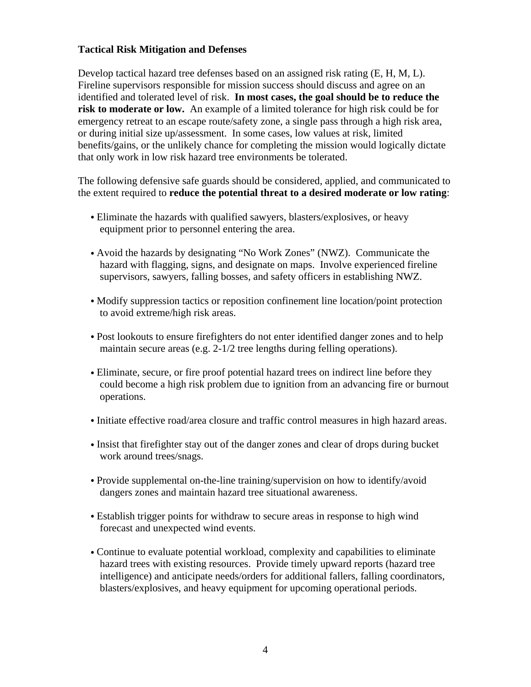#### **Tactical Risk Mitigation and Defenses**

Develop tactical hazard tree defenses based on an assigned risk rating (E, H, M, L). Fireline supervisors responsible for mission success should discuss and agree on an identified and tolerated level of risk. **In most cases, the goal should be to reduce the risk to moderate or low.** An example of a limited tolerance for high risk could be for emergency retreat to an escape route/safety zone, a single pass through a high risk area, or during initial size up/assessment. In some cases, low values at risk, limited benefits/gains, or the unlikely chance for completing the mission would logically dictate that only work in low risk hazard tree environments be tolerated.

The following defensive safe guards should be considered, applied, and communicated to the extent required to **reduce the potential threat to a desired moderate or low rating**:

- Eliminate the hazards with qualified sawyers, blasters/explosives, or heavy equipment prior to personnel entering the area.
- Avoid the hazards by designating "No Work Zones" (NWZ). Communicate the hazard with flagging, signs, and designate on maps. Involve experienced fireline supervisors, sawyers, falling bosses, and safety officers in establishing NWZ.
- Modify suppression tactics or reposition confinement line location/point protection to avoid extreme/high risk areas.
- Post lookouts to ensure firefighters do not enter identified danger zones and to help maintain secure areas (e.g. 2-1/2 tree lengths during felling operations).
- Eliminate, secure, or fire proof potential hazard trees on indirect line before they could become a high risk problem due to ignition from an advancing fire or burnout operations.
- Initiate effective road/area closure and traffic control measures in high hazard areas.
- Insist that firefighter stay out of the danger zones and clear of drops during bucket work around trees/snags.
- Provide supplemental on-the-line training/supervision on how to identify/avoid dangers zones and maintain hazard tree situational awareness.
- Establish trigger points for withdraw to secure areas in response to high wind forecast and unexpected wind events.
- Continue to evaluate potential workload, complexity and capabilities to eliminate hazard trees with existing resources. Provide timely upward reports (hazard tree intelligence) and anticipate needs/orders for additional fallers, falling coordinators, blasters/explosives, and heavy equipment for upcoming operational periods.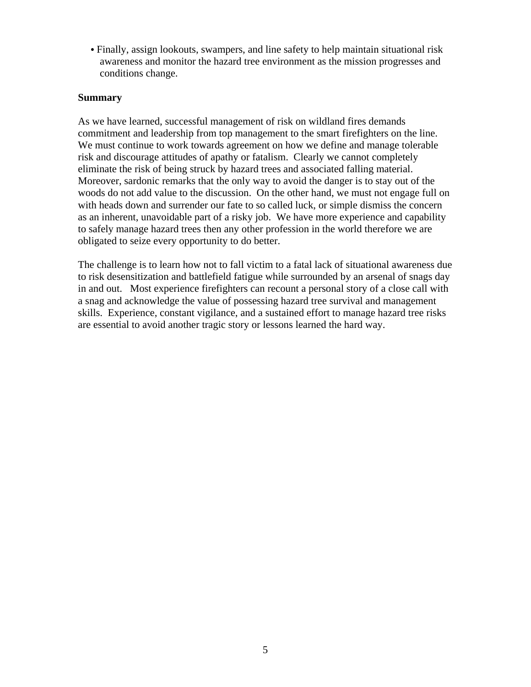• Finally, assign lookouts, swampers, and line safety to help maintain situational risk awareness and monitor the hazard tree environment as the mission progresses and conditions change.

#### **Summary**

As we have learned, successful management of risk on wildland fires demands commitment and leadership from top management to the smart firefighters on the line. We must continue to work towards agreement on how we define and manage tolerable risk and discourage attitudes of apathy or fatalism. Clearly we cannot completely eliminate the risk of being struck by hazard trees and associated falling material. Moreover, sardonic remarks that the only way to avoid the danger is to stay out of the woods do not add value to the discussion. On the other hand, we must not engage full on with heads down and surrender our fate to so called luck, or simple dismiss the concern as an inherent, unavoidable part of a risky job. We have more experience and capability to safely manage hazard trees then any other profession in the world therefore we are obligated to seize every opportunity to do better.

The challenge is to learn how not to fall victim to a fatal lack of situational awareness due to risk desensitization and battlefield fatigue while surrounded by an arsenal of snags day in and out. Most experience firefighters can recount a personal story of a close call with a snag and acknowledge the value of possessing hazard tree survival and management skills. Experience, constant vigilance, and a sustained effort to manage hazard tree risks are essential to avoid another tragic story or lessons learned the hard way.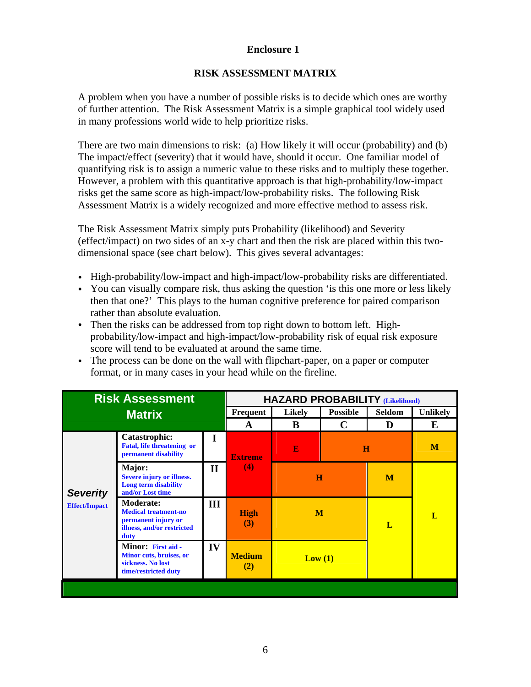### **Enclosure 1**

### **RISK ASSESSMENT MATRIX**

A problem when you have a number of possible risks is to decide which ones are worthy of further attention. The Risk Assessment Matrix is a simple graphical tool widely used in many professions world wide to help prioritize risks.

There are two main dimensions to risk: (a) How likely it will occur (probability) and (b) The impact/effect (severity) that it would have, should it occur. One familiar model of quantifying risk is to assign a numeric value to these risks and to multiply these together. However, a problem with this quantitative approach is that high-probability/low-impact risks get the same score as high-impact/low-probability risks. The following Risk Assessment Matrix is a widely recognized and more effective method to assess risk.

The Risk Assessment Matrix simply puts Probability (likelihood) and Severity (effect/impact) on two sides of an x-y chart and then the risk are placed within this twodimensional space (see chart below). This gives several advantages:

- High-probability/low-impact and high-impact/low-probability risks are differentiated.
- You can visually compare risk, thus asking the question 'is this one more or less likely then that one?' This plays to the human cognitive preference for paired comparison rather than absolute evaluation.
- Then the risks can be addressed from top right down to bottom left. Highprobability/low-impact and high-impact/low-probability risk of equal risk exposure score will tend to be evaluated at around the same time.
- The process can be done on the wall with flipchart-paper, on a paper or computer format, or in many cases in your head while on the fireline.

|                                         | <b>Risk Assessment</b>                                                                                       |              | <b>HAZARD PROBABILITY (Likelihood)</b> |               |                         |               |                 |  |  |  |  |  |  |
|-----------------------------------------|--------------------------------------------------------------------------------------------------------------|--------------|----------------------------------------|---------------|-------------------------|---------------|-----------------|--|--|--|--|--|--|
|                                         | <b>Matrix</b>                                                                                                |              | Frequent                               | <b>Likely</b> | <b>Possible</b>         | <b>Seldom</b> | <b>Unlikely</b> |  |  |  |  |  |  |
|                                         |                                                                                                              |              | A                                      | B             | C                       | D             | E               |  |  |  |  |  |  |
|                                         | <b>Catastrophic:</b><br><b>Fatal, life threatening or</b><br>permanent disability                            | I            | <b>Extreme</b>                         | E             | $\overline{\mathbf{H}}$ |               | M               |  |  |  |  |  |  |
| <b>Severity</b><br><b>Effect/Impact</b> | Major:<br>Severe injury or illness.<br>Long term disability<br>and/or Lost time                              | $\mathbf{I}$ | (4)                                    | $\bf H$       |                         | M             |                 |  |  |  |  |  |  |
|                                         | <b>Moderate:</b><br><b>Medical treatment-no</b><br>permanent injury or<br>illness, and/or restricted<br>duty | Ш            | <b>High</b><br>(3)                     | M             |                         | L             | L               |  |  |  |  |  |  |
|                                         | Minor: First aid -<br>Minor cuts, bruises, or<br>sickness. No lost<br>time/restricted duty                   | IV           | <b>Medium</b><br>(2)                   | Low(1)        |                         |               |                 |  |  |  |  |  |  |
|                                         |                                                                                                              |              |                                        |               |                         |               |                 |  |  |  |  |  |  |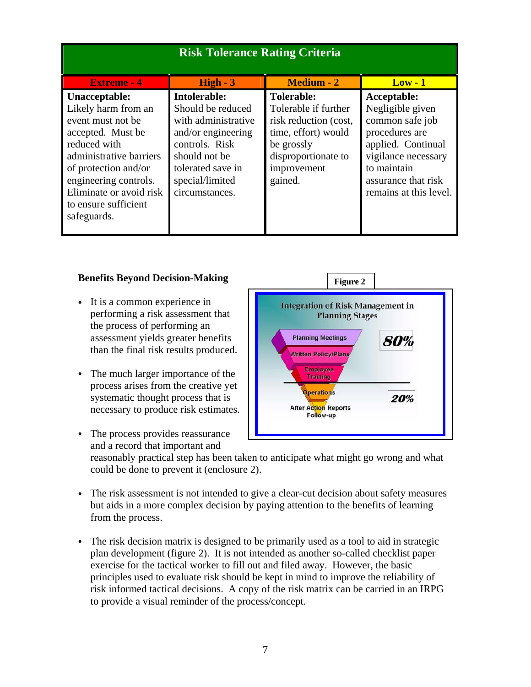| <b>Risk Tolerance Rating Criteria</b>                                                                                                                                                                                                        |                                                                                                                                                                             |                                                                                                                                                          |                                                                                                                                                                                   |  |  |  |  |  |  |  |  |  |
|----------------------------------------------------------------------------------------------------------------------------------------------------------------------------------------------------------------------------------------------|-----------------------------------------------------------------------------------------------------------------------------------------------------------------------------|----------------------------------------------------------------------------------------------------------------------------------------------------------|-----------------------------------------------------------------------------------------------------------------------------------------------------------------------------------|--|--|--|--|--|--|--|--|--|
| <b>Extreme - 4</b>                                                                                                                                                                                                                           | $High - 3$                                                                                                                                                                  | <b>Medium - 2</b>                                                                                                                                        | $Low - 1$                                                                                                                                                                         |  |  |  |  |  |  |  |  |  |
| Unacceptable:<br>Likely harm from an<br>event must not be<br>accepted. Must be<br>reduced with<br>administrative barriers<br>of protection and/or<br>engineering controls.<br>Eliminate or avoid risk<br>to ensure sufficient<br>safeguards. | Intolerable:<br>Should be reduced<br>with administrative<br>and/or engineering<br>controls. Risk<br>should not be<br>tolerated save in<br>special/limited<br>circumstances. | <b>Tolerable:</b><br>Tolerable if further<br>risk reduction (cost,<br>time, effort) would<br>be grossly<br>disproportionate to<br>improvement<br>gained. | Acceptable:<br>Negligible given<br>common safe job<br>procedures are<br>applied. Continual<br>vigilance necessary<br>to maintain<br>assurance that risk<br>remains at this level. |  |  |  |  |  |  |  |  |  |

# **Benefits Beyond Decision-Making**

- It is a common experience in performing a risk assessment that the process of performing an assessment yields greater benefits than the final risk results produced.
- The much larger importance of the process arises from the creative yet systematic thought process that is necessary to produce risk estimates.



- The process provides reassurance and a record that important and reasonably practical step has been taken to anticipate what might go wrong and what could be done to prevent it (enclosure 2).
- The risk assessment is not intended to give a clear-cut decision about safety measures but aids in a more complex decision by paying attention to the benefits of learning from the process.
- The risk decision matrix is designed to be primarily used as a tool to aid in strategic plan development (figure 2). It is not intended as another so-called checklist paper exercise for the tactical worker to fill out and filed away. However, the basic principles used to evaluate risk should be kept in mind to improve the reliability of risk informed tactical decisions. A copy of the risk matrix can be carried in an IRPG to provide a visual reminder of the process/concept.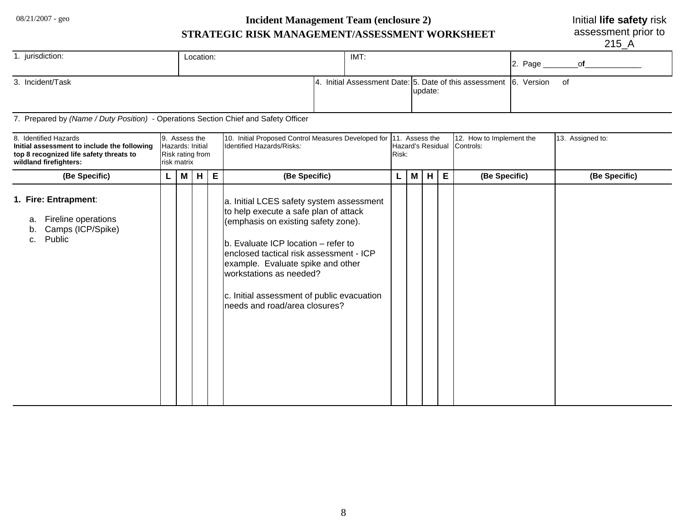# 08/21/2007 - geo **Incident Management Team (enclosure 2) STRATEGIC RISK MANAGEMENT/ASSESSMENT WORKSHEET**

Initial **life safety** risk

assessment prior to

215\_A

| jurisdiction:    | Location: | IMT: |                                                                           | 2. Page |    |
|------------------|-----------|------|---------------------------------------------------------------------------|---------|----|
| 3. Incident/Task | -14.      |      | Initial Assessment Date: 5. Date of this assessment 6. Version<br>update: |         | of |

7. Prepared by *(Name / Duty Position)* - Operations Section Chief and Safety Officer

| 8. Identified Hazards<br>Initial assessment to include the following<br>top 8 recognized life safety threats to<br>wildland firefighters: |   | 9. Assess the<br>Hazards: Initial<br>Risk rating from<br>risk matrix |   |   | 10. Initial Proposed Control Measures Developed for 11. Assess the<br>Identified Hazards/Risks:<br>Risk:                                                                                                                                                                                                                                                   |                          |  |  |   | 12. How to Implement the<br>Hazard's Residual Controls: | 13. Assigned to: |
|-------------------------------------------------------------------------------------------------------------------------------------------|---|----------------------------------------------------------------------|---|---|------------------------------------------------------------------------------------------------------------------------------------------------------------------------------------------------------------------------------------------------------------------------------------------------------------------------------------------------------------|--------------------------|--|--|---|---------------------------------------------------------|------------------|
| (Be Specific)                                                                                                                             | L | M <sub>1</sub>                                                       | H | E | (Be Specific)                                                                                                                                                                                                                                                                                                                                              | $\mid M \mid$<br>H<br>L. |  |  | E | (Be Specific)                                           | (Be Specific)    |
| 1. Fire: Entrapment:<br>Fireline operations<br>a.<br>Camps (ICP/Spike)<br>b.<br>Public<br>c.                                              |   |                                                                      |   |   | a. Initial LCES safety system assessment<br>to help execute a safe plan of attack<br>(emphasis on existing safety zone).<br>b. Evaluate ICP location - refer to<br>lenclosed tactical risk assessment - ICP<br>example. Evaluate spike and other<br>workstations as needed?<br>c. Initial assessment of public evacuation<br>needs and road/area closures? |                          |  |  |   |                                                         |                  |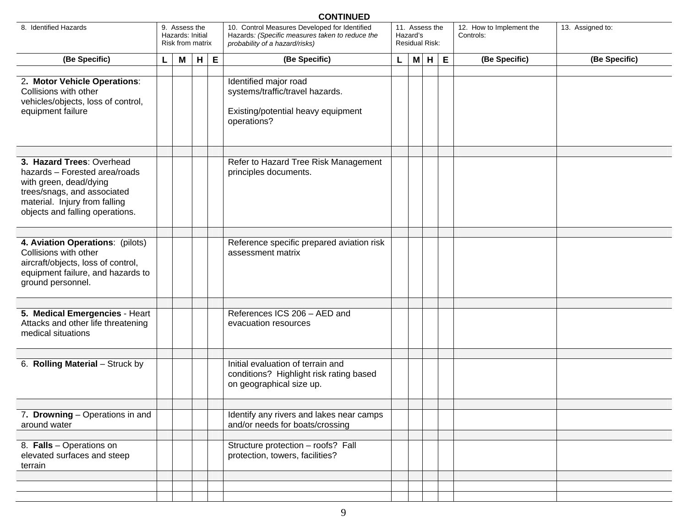| <b>CONTINUED</b>                                                                                                                                                                        |  |                                                       |        |   |                                                                                                                                    |   |   |                                                     |   |                                       |  |                  |  |
|-----------------------------------------------------------------------------------------------------------------------------------------------------------------------------------------|--|-------------------------------------------------------|--------|---|------------------------------------------------------------------------------------------------------------------------------------|---|---|-----------------------------------------------------|---|---------------------------------------|--|------------------|--|
| 8. Identified Hazards                                                                                                                                                                   |  | 9. Assess the<br>Hazards: Initial<br>Risk from matrix |        |   | 10. Control Measures Developed for Identified<br>Hazards: (Specific measures taken to reduce the<br>probability of a hazard/risks) |   |   | 11. Assess the<br>Hazard's<br><b>Residual Risk:</b> |   | 12. How to Implement the<br>Controls: |  | 13. Assigned to: |  |
| (Be Specific)                                                                                                                                                                           |  |                                                       | H<br>M | E | (Be Specific)                                                                                                                      | L | M | H                                                   | E | (Be Specific)                         |  | (Be Specific)    |  |
| 2. Motor Vehicle Operations:<br>Collisions with other<br>vehicles/objects, loss of control,<br>equipment failure                                                                        |  |                                                       |        |   | Identified major road<br>systems/traffic/travel hazards.<br>Existing/potential heavy equipment<br>operations?                      |   |   |                                                     |   |                                       |  |                  |  |
| 3. Hazard Trees: Overhead<br>hazards - Forested area/roads<br>with green, dead/dying<br>trees/snags, and associated<br>material. Injury from falling<br>objects and falling operations. |  |                                                       |        |   | Refer to Hazard Tree Risk Management<br>principles documents.                                                                      |   |   |                                                     |   |                                       |  |                  |  |
| 4. Aviation Operations: (pilots)<br>Collisions with other<br>aircraft/objects, loss of control,<br>equipment failure, and hazards to<br>ground personnel.                               |  |                                                       |        |   | Reference specific prepared aviation risk<br>assessment matrix                                                                     |   |   |                                                     |   |                                       |  |                  |  |
| 5. Medical Emergencies - Heart<br>Attacks and other life threatening<br>medical situations                                                                                              |  |                                                       |        |   | References ICS 206 - AED and<br>evacuation resources                                                                               |   |   |                                                     |   |                                       |  |                  |  |
| 6. Rolling Material - Struck by                                                                                                                                                         |  |                                                       |        |   | Initial evaluation of terrain and<br>conditions? Highlight risk rating based<br>on geographical size up.                           |   |   |                                                     |   |                                       |  |                  |  |
| 7. Drowning - Operations in and<br>around water                                                                                                                                         |  |                                                       |        |   | Identify any rivers and lakes near camps<br>and/or needs for boats/crossing                                                        |   |   |                                                     |   |                                       |  |                  |  |
| 8. Falls - Operations on<br>elevated surfaces and steep<br>terrain                                                                                                                      |  |                                                       |        |   | Structure protection - roofs? Fall<br>protection, towers, facilities?                                                              |   |   |                                                     |   |                                       |  |                  |  |
|                                                                                                                                                                                         |  |                                                       |        |   |                                                                                                                                    |   |   |                                                     |   |                                       |  |                  |  |
|                                                                                                                                                                                         |  |                                                       |        |   |                                                                                                                                    |   |   |                                                     |   |                                       |  |                  |  |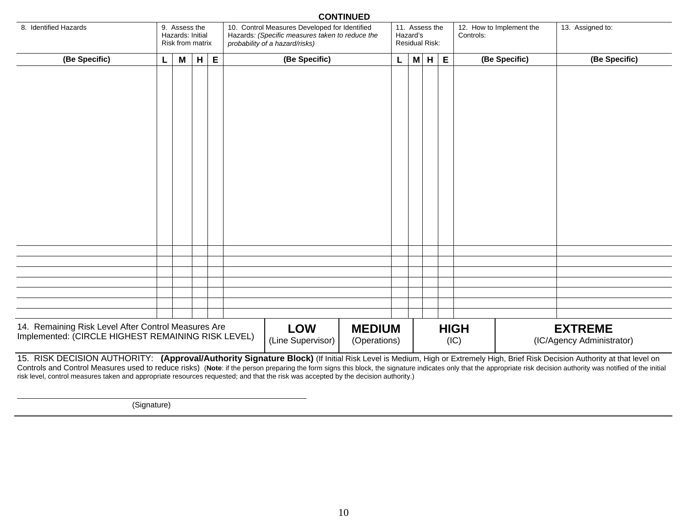|                                                     |                                   |                  |   |   |                                                                                   |                                               | <b>UUNIINUED</b> |   |                                   |  |               |                          |  |                           |  |
|-----------------------------------------------------|-----------------------------------|------------------|---|---|-----------------------------------------------------------------------------------|-----------------------------------------------|------------------|---|-----------------------------------|--|---------------|--------------------------|--|---------------------------|--|
| 8. Identified Hazards                               | 9. Assess the<br>Hazards: Initial |                  |   |   |                                                                                   | 10. Control Measures Developed for Identified |                  |   | 11. Assess the                    |  |               | 12. How to Implement the |  | 13. Assigned to:          |  |
|                                                     |                                   | Risk from matrix |   |   | Hazards: (Specific measures taken to reduce the<br>probability of a hazard/risks) |                                               |                  |   | Hazard's<br><b>Residual Risk:</b> |  |               | Controls:                |  |                           |  |
|                                                     |                                   |                  |   |   |                                                                                   | (Be Specific)                                 |                  |   |                                   |  |               |                          |  |                           |  |
| (Be Specific)                                       | L                                 | M <sub>1</sub>   | H | E |                                                                                   | L                                             | M                | H | E                                 |  | (Be Specific) | (Be Specific)            |  |                           |  |
|                                                     |                                   |                  |   |   |                                                                                   |                                               |                  |   |                                   |  |               |                          |  |                           |  |
|                                                     |                                   |                  |   |   |                                                                                   |                                               |                  |   |                                   |  |               |                          |  |                           |  |
|                                                     |                                   |                  |   |   |                                                                                   |                                               |                  |   |                                   |  |               |                          |  |                           |  |
|                                                     |                                   |                  |   |   |                                                                                   |                                               |                  |   |                                   |  |               |                          |  |                           |  |
|                                                     |                                   |                  |   |   |                                                                                   |                                               |                  |   |                                   |  |               |                          |  |                           |  |
|                                                     |                                   |                  |   |   |                                                                                   |                                               |                  |   |                                   |  |               |                          |  |                           |  |
|                                                     |                                   |                  |   |   |                                                                                   |                                               |                  |   |                                   |  |               |                          |  |                           |  |
|                                                     |                                   |                  |   |   |                                                                                   |                                               |                  |   |                                   |  |               |                          |  |                           |  |
|                                                     |                                   |                  |   |   |                                                                                   |                                               |                  |   |                                   |  |               |                          |  |                           |  |
|                                                     |                                   |                  |   |   |                                                                                   |                                               |                  |   |                                   |  |               |                          |  |                           |  |
|                                                     |                                   |                  |   |   |                                                                                   |                                               |                  |   |                                   |  |               |                          |  |                           |  |
|                                                     |                                   |                  |   |   |                                                                                   |                                               |                  |   |                                   |  |               |                          |  |                           |  |
|                                                     |                                   |                  |   |   |                                                                                   |                                               |                  |   |                                   |  |               |                          |  |                           |  |
|                                                     |                                   |                  |   |   |                                                                                   |                                               |                  |   |                                   |  |               |                          |  |                           |  |
|                                                     |                                   |                  |   |   |                                                                                   |                                               |                  |   |                                   |  |               |                          |  |                           |  |
|                                                     |                                   |                  |   |   |                                                                                   |                                               |                  |   |                                   |  |               |                          |  |                           |  |
|                                                     |                                   |                  |   |   |                                                                                   |                                               |                  |   |                                   |  |               |                          |  |                           |  |
|                                                     |                                   |                  |   |   |                                                                                   |                                               |                  |   |                                   |  |               |                          |  |                           |  |
|                                                     |                                   |                  |   |   |                                                                                   |                                               |                  |   |                                   |  |               |                          |  |                           |  |
|                                                     |                                   |                  |   |   |                                                                                   |                                               |                  |   |                                   |  |               |                          |  |                           |  |
|                                                     |                                   |                  |   |   |                                                                                   |                                               |                  |   |                                   |  |               |                          |  |                           |  |
|                                                     |                                   |                  |   |   |                                                                                   |                                               |                  |   |                                   |  |               |                          |  |                           |  |
|                                                     |                                   |                  |   |   |                                                                                   |                                               |                  |   |                                   |  |               |                          |  |                           |  |
|                                                     |                                   |                  |   |   |                                                                                   |                                               |                  |   |                                   |  |               |                          |  |                           |  |
| 14. Remaining Risk Level After Control Measures Are |                                   |                  |   |   |                                                                                   | <b>LOW</b>                                    | <b>MEDIUM</b>    |   |                                   |  |               | <b>HIGH</b>              |  | <b>EXTREME</b>            |  |
| Implemented: (CIRCLE HIGHEST REMAINING RISK LEVEL)  |                                   |                  |   |   |                                                                                   | (Line Supervisor)                             | (Operations)     |   |                                   |  |               | (IC)                     |  | (IC/Agency Administrator) |  |
|                                                     |                                   |                  |   |   |                                                                                   |                                               |                  |   |                                   |  |               |                          |  |                           |  |

**CONTINUED** 

15. RISK DECISION AUTHORITY: **(Approval/Authority Signature Block)** (If Initial Risk Level is Medium, High or Extremely High, Brief Risk Decision Authority at that level on Controls and Control Measures used to reduce risks) (Note: if the person preparing the form signs this block, the signature indicates only that the appropriate risk decision authority was notified of the initial risk level, control measures taken and appropriate resources requested; and that the risk was accepted by the decision authority.)

(Signature)

\_\_\_\_\_\_\_\_\_\_\_\_\_\_\_\_\_\_\_\_\_\_\_\_\_\_\_\_\_\_\_\_\_\_\_\_\_\_\_\_\_\_\_\_\_\_\_\_\_\_\_\_\_\_\_\_\_\_\_\_\_\_\_\_\_\_\_\_\_\_\_\_\_\_\_